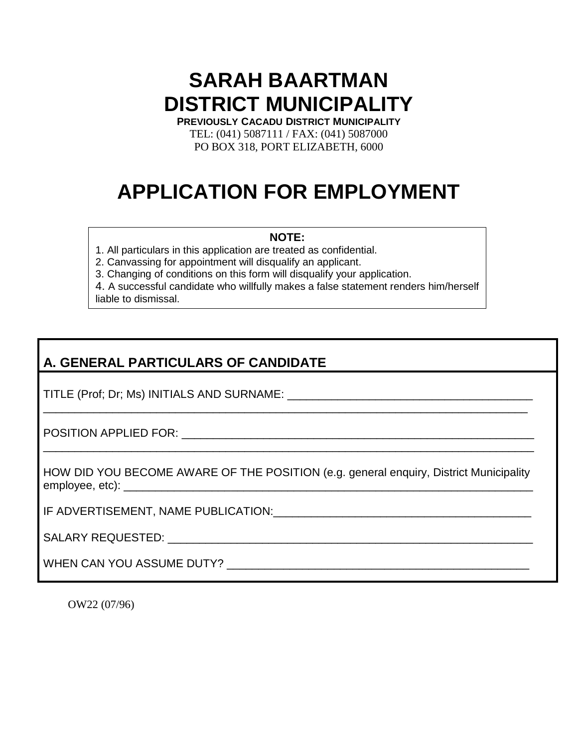## **SARAH BAARTMAN DISTRICT MUNICIPALITY**

**PREVIOUSLY CACADU DISTRICT MUNICIPALITY** TEL: (041) 5087111 / FAX: (041) 5087000 PO BOX 318, PORT ELIZABETH, 6000

# **APPLICATION FOR EMPLOYMENT**

#### **NOTE:**

1. All particulars in this application are treated as confidential.

2. Canvassing for appointment will disqualify an applicant.

3. Changing of conditions on this form will disqualify your application.

4. A successful candidate who willfully makes a false statement renders him/herself liable to dismissal.

## **A. GENERAL PARTICULARS OF CANDIDATE**

TITLE (Prof; Dr; Ms) INITIALS AND SURNAME: \_\_\_\_\_\_\_\_\_\_\_\_\_\_\_\_\_\_\_\_\_\_\_\_\_\_\_\_\_\_\_\_\_\_\_\_\_\_\_

POSITION APPLIED FOR: **with a state of the state of the state of the state of the state of the state of the state of the state of the state of the state of the state of the state of the state of the state of the state of t** 

HOW DID YOU BECOME AWARE OF THE POSITION (e.g. general enquiry, District Municipality employee, etc): \_\_\_\_\_\_\_\_\_\_\_\_\_\_\_\_\_\_\_\_\_\_\_\_\_\_\_\_\_\_\_\_\_\_\_\_\_\_\_\_\_\_\_\_\_\_\_\_\_\_\_\_\_\_\_\_\_\_\_\_\_\_\_\_\_

\_\_\_\_\_\_\_\_\_\_\_\_\_\_\_\_\_\_\_\_\_\_\_\_\_\_\_\_\_\_\_\_\_\_\_\_\_\_\_\_\_\_\_\_\_\_\_\_\_\_\_\_\_\_\_\_\_\_\_\_\_\_\_\_\_\_\_\_\_\_\_\_\_\_\_\_\_\_

\_\_\_\_\_\_\_\_\_\_\_\_\_\_\_\_\_\_\_\_\_\_\_\_\_\_\_\_\_\_\_\_\_\_\_\_\_\_\_\_\_\_\_\_\_\_\_\_\_\_\_\_\_\_\_\_\_\_\_\_\_\_\_\_\_\_\_\_\_\_\_\_\_\_\_\_\_

IF ADVERTISEMENT, NAME PUBLICATION:\_\_\_\_\_\_\_\_\_\_\_\_\_\_\_\_\_\_\_\_\_\_\_\_\_\_\_\_\_\_\_\_\_\_\_\_\_\_\_\_\_

SALARY REQUESTED: \_\_\_\_\_\_\_\_\_\_\_\_\_\_\_\_\_\_\_\_\_\_\_\_\_\_\_\_\_\_\_\_\_\_\_\_\_\_\_\_\_\_\_\_\_\_\_\_\_\_\_\_\_\_\_\_\_\_

WHEN CAN YOU ASSUME DUTY? WHEN CAN YOU ASSUME DUTY?

OW22 (07/96)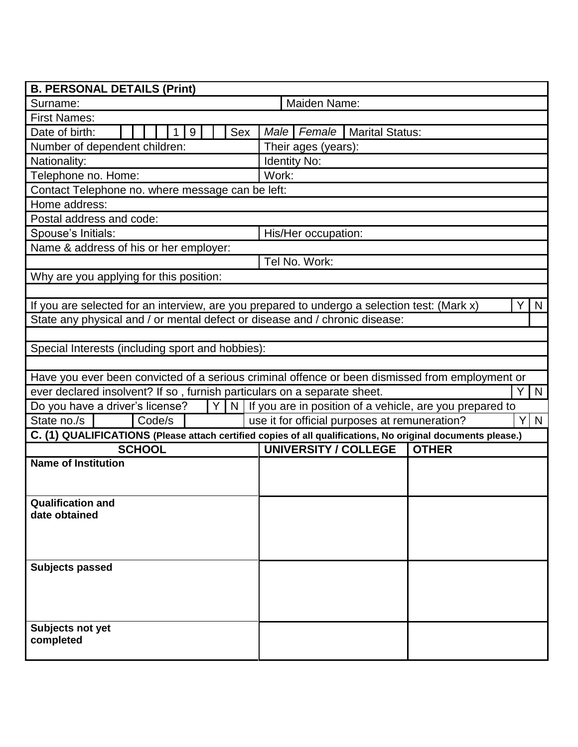| <b>B. PERSONAL DETAILS (Print)</b>                                                                          |                                                 |              |              |  |  |  |
|-------------------------------------------------------------------------------------------------------------|-------------------------------------------------|--------------|--------------|--|--|--|
| Surname:                                                                                                    | Maiden Name:                                    |              |              |  |  |  |
| <b>First Names:</b>                                                                                         |                                                 |              |              |  |  |  |
| Date of birth:<br>Sex<br>9                                                                                  | <b>Male</b><br>Female<br><b>Marital Status:</b> |              |              |  |  |  |
| Number of dependent children:                                                                               | Their ages (years):                             |              |              |  |  |  |
| Nationality:                                                                                                | <b>Identity No:</b>                             |              |              |  |  |  |
| Telephone no. Home:                                                                                         | Work:                                           |              |              |  |  |  |
| Contact Telephone no. where message can be left:                                                            |                                                 |              |              |  |  |  |
| Home address:                                                                                               |                                                 |              |              |  |  |  |
| Postal address and code:                                                                                    |                                                 |              |              |  |  |  |
| Spouse's Initials:                                                                                          | His/Her occupation:                             |              |              |  |  |  |
| Name & address of his or her employer:                                                                      |                                                 |              |              |  |  |  |
|                                                                                                             | Tel No. Work:                                   |              |              |  |  |  |
| Why are you applying for this position:                                                                     |                                                 |              |              |  |  |  |
|                                                                                                             |                                                 |              |              |  |  |  |
| If you are selected for an interview, are you prepared to undergo a selection test: (Mark x)                |                                                 |              | $\mathsf{N}$ |  |  |  |
| State any physical and / or mental defect or disease and / chronic disease:                                 |                                                 |              |              |  |  |  |
|                                                                                                             |                                                 |              |              |  |  |  |
| Special Interests (including sport and hobbies):                                                            |                                                 |              |              |  |  |  |
|                                                                                                             |                                                 |              |              |  |  |  |
| Have you ever been convicted of a serious criminal offence or been dismissed from employment or             |                                                 |              |              |  |  |  |
| ever declared insolvent? If so, furnish particulars on a separate sheet.<br>Y.<br>N                         |                                                 |              |              |  |  |  |
| Y  <br>Do you have a driver's license?<br>$N$ If you are in position of a vehicle, are you prepared to      |                                                 |              |              |  |  |  |
| State no./s<br>Code/s<br>use it for official purposes at remuneration?<br>Y.<br>N                           |                                                 |              |              |  |  |  |
| C. (1) QUALIFICATIONS (Please attach certified copies of all qualifications, No original documents please.) |                                                 |              |              |  |  |  |
| <b>SCHOOL</b>                                                                                               | <b>UNIVERSITY / COLLEGE</b>                     | <b>OTHER</b> |              |  |  |  |
| <b>Name of Institution</b>                                                                                  |                                                 |              |              |  |  |  |
|                                                                                                             |                                                 |              |              |  |  |  |
|                                                                                                             |                                                 |              |              |  |  |  |
| <b>Qualification and</b><br>date obtained                                                                   |                                                 |              |              |  |  |  |
|                                                                                                             |                                                 |              |              |  |  |  |
|                                                                                                             |                                                 |              |              |  |  |  |
|                                                                                                             |                                                 |              |              |  |  |  |
| <b>Subjects passed</b>                                                                                      |                                                 |              |              |  |  |  |
|                                                                                                             |                                                 |              |              |  |  |  |
|                                                                                                             |                                                 |              |              |  |  |  |
|                                                                                                             |                                                 |              |              |  |  |  |
| Subjects not yet                                                                                            |                                                 |              |              |  |  |  |
| completed                                                                                                   |                                                 |              |              |  |  |  |
|                                                                                                             |                                                 |              |              |  |  |  |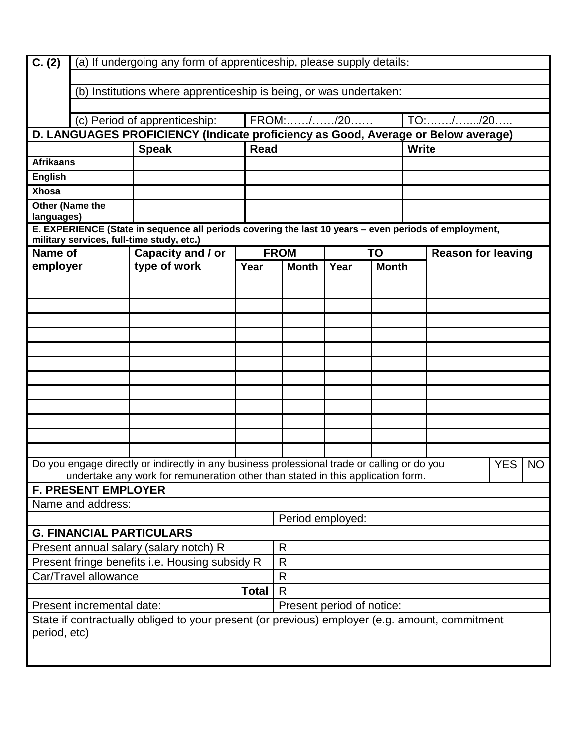| $\overline{C}$ . (2)                                                                                                             | (a) If undergoing any form of apprenticeship, please supply details: |                                                                                                       |                           |                          |                      |  |                           |  |            |           |
|----------------------------------------------------------------------------------------------------------------------------------|----------------------------------------------------------------------|-------------------------------------------------------------------------------------------------------|---------------------------|--------------------------|----------------------|--|---------------------------|--|------------|-----------|
|                                                                                                                                  |                                                                      |                                                                                                       |                           |                          |                      |  |                           |  |            |           |
|                                                                                                                                  | (b) Institutions where apprenticeship is being, or was undertaken:   |                                                                                                       |                           |                          |                      |  |                           |  |            |           |
|                                                                                                                                  |                                                                      |                                                                                                       |                           |                          |                      |  |                           |  |            |           |
|                                                                                                                                  | FROM://20<br>(c) Period of apprenticeship:                           |                                                                                                       |                           |                          |                      |  |                           |  |            |           |
| D. LANGUAGES PROFICIENCY (Indicate proficiency as Good, Average or Below average)<br><b>Speak</b><br><b>Read</b><br><b>Write</b> |                                                                      |                                                                                                       |                           |                          |                      |  |                           |  |            |           |
| <b>Afrikaans</b>                                                                                                                 |                                                                      |                                                                                                       |                           |                          |                      |  |                           |  |            |           |
| <b>English</b>                                                                                                                   |                                                                      |                                                                                                       |                           |                          |                      |  |                           |  |            |           |
| <b>Xhosa</b>                                                                                                                     |                                                                      |                                                                                                       |                           |                          |                      |  |                           |  |            |           |
| Other (Name the<br>languages)                                                                                                    |                                                                      |                                                                                                       |                           |                          |                      |  |                           |  |            |           |
|                                                                                                                                  |                                                                      | E. EXPERIENCE (State in sequence all periods covering the last 10 years - even periods of employment, |                           |                          |                      |  |                           |  |            |           |
|                                                                                                                                  |                                                                      | military services, full-time study, etc.)                                                             |                           |                          |                      |  |                           |  |            |           |
| Name of                                                                                                                          |                                                                      | Capacity and / or                                                                                     |                           | <b>FROM</b><br><b>TO</b> |                      |  | <b>Reason for leaving</b> |  |            |           |
| employer                                                                                                                         |                                                                      | type of work                                                                                          | Year                      | <b>Month</b>             | <b>Month</b><br>Year |  |                           |  |            |           |
|                                                                                                                                  |                                                                      |                                                                                                       |                           |                          |                      |  |                           |  |            |           |
|                                                                                                                                  |                                                                      |                                                                                                       |                           |                          |                      |  |                           |  |            |           |
|                                                                                                                                  |                                                                      |                                                                                                       |                           |                          |                      |  |                           |  |            |           |
|                                                                                                                                  |                                                                      |                                                                                                       |                           |                          |                      |  |                           |  |            |           |
|                                                                                                                                  |                                                                      |                                                                                                       |                           |                          |                      |  |                           |  |            |           |
|                                                                                                                                  |                                                                      |                                                                                                       |                           |                          |                      |  |                           |  |            |           |
|                                                                                                                                  |                                                                      |                                                                                                       |                           |                          |                      |  |                           |  |            |           |
|                                                                                                                                  |                                                                      |                                                                                                       |                           |                          |                      |  |                           |  |            |           |
|                                                                                                                                  |                                                                      |                                                                                                       |                           |                          |                      |  |                           |  |            |           |
|                                                                                                                                  |                                                                      |                                                                                                       |                           |                          |                      |  |                           |  |            |           |
|                                                                                                                                  |                                                                      |                                                                                                       |                           |                          |                      |  |                           |  |            |           |
|                                                                                                                                  |                                                                      |                                                                                                       |                           |                          |                      |  |                           |  |            |           |
|                                                                                                                                  |                                                                      | Do you engage directly or indirectly in any business professional trade or calling or do you          |                           |                          |                      |  |                           |  | <b>YES</b> | <b>NO</b> |
| undertake any work for remuneration other than stated in this application form.                                                  |                                                                      |                                                                                                       |                           |                          |                      |  |                           |  |            |           |
| <b>F. PRESENT EMPLOYER</b>                                                                                                       |                                                                      |                                                                                                       |                           |                          |                      |  |                           |  |            |           |
| Name and address:                                                                                                                |                                                                      |                                                                                                       |                           |                          |                      |  |                           |  |            |           |
| Period employed:                                                                                                                 |                                                                      |                                                                                                       |                           |                          |                      |  |                           |  |            |           |
| <b>G. FINANCIAL PARTICULARS</b><br>R                                                                                             |                                                                      |                                                                                                       |                           |                          |                      |  |                           |  |            |           |
| Present annual salary (salary notch) R<br>Present fringe benefits i.e. Housing subsidy R                                         |                                                                      |                                                                                                       | $\mathsf{R}$              |                          |                      |  |                           |  |            |           |
| Car/Travel allowance                                                                                                             |                                                                      |                                                                                                       | R                         |                          |                      |  |                           |  |            |           |
|                                                                                                                                  | Total                                                                |                                                                                                       |                           | $\mathsf{R}$             |                      |  |                           |  |            |           |
| Present incremental date:                                                                                                        |                                                                      |                                                                                                       | Present period of notice: |                          |                      |  |                           |  |            |           |
| State if contractually obliged to your present (or previous) employer (e.g. amount, commitment                                   |                                                                      |                                                                                                       |                           |                          |                      |  |                           |  |            |           |
| period, etc)                                                                                                                     |                                                                      |                                                                                                       |                           |                          |                      |  |                           |  |            |           |
|                                                                                                                                  |                                                                      |                                                                                                       |                           |                          |                      |  |                           |  |            |           |
|                                                                                                                                  |                                                                      |                                                                                                       |                           |                          |                      |  |                           |  |            |           |